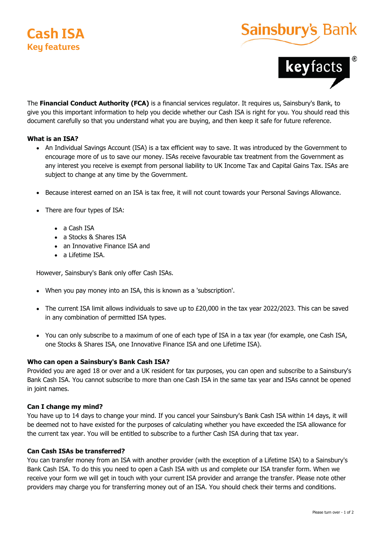

# Sainsbury's



The **Financial Conduct Authority (FCA)** is a financial services regulator. It requires us, Sainsbury's Bank, to give you this important information to help you decide whether our Cash ISA is right for you. You should read this document carefully so that you understand what you are buying, and then keep it safe for future reference.

# **What is an ISA?**

- An Individual Savings Account (ISA) is a tax efficient way to save. It was introduced by the Government to encourage more of us to save our money. ISAs receive favourable tax treatment from the Government as any interest you receive is exempt from personal liability to UK Income Tax and Capital Gains Tax. ISAs are subject to change at any time by the Government.
- Because interest earned on an ISA is tax free, it will not count towards your Personal Savings Allowance.
- There are four types of ISA:
	- a Cash ISA
	- a Stocks & Shares ISA
	- an Innovative Finance ISA and
	- a Lifetime ISA.

However, Sainsbury's Bank only offer Cash ISAs.

- When you pay money into an ISA, this is known as a 'subscription'.
- The current ISA limit allows individuals to save up to £20,000 in the tax year 2022/2023. This can be saved in any combination of permitted ISA types.
- You can only subscribe to a maximum of one of each type of ISA in a tax year (for example, one Cash ISA, one Stocks & Shares ISA, one Innovative Finance ISA and one Lifetime ISA). in any combination of permitted ISA types.<br>You can only subscribe to a maximum of one of each type of ISA in a tax year (for example, one Cash ISA,<br>one Stocks & Shares ISA, one Innovative Finance ISA and one Lifetime ISA).

# **Who can open a Sainsbury's Bank Cash ISA? Who can open aSainsbury's BankCash ISA?**

Provided you are aged 18 or over and a UK resident for tax purposes, you can open and subscribe to a Sainsbury's Bank Cash ISA. You cannot subscribe to more than one Cash ISA in the same tax year and ISAs cannot be opened in joint names. Provided you are aged 18 or over and a UK resident for tax purposes, you can open and subscribe to a Sainsbury's<br>Bank Cash ISA. You cannot subscribe to more than one Cash ISA in the same tax year and ISAs cannot be opened<br>

#### **Can I change my mind? Can I change my mind?**

You have up to 14 days to change your mind. If you cancel your Sainsbury's Bank Cash ISA within 14 days, it will be deemed not to have existed for the purposes of calculating whether you have exceeded the ISA allowance for the current tax year. You will be entitled to subscribe to a further Cash ISA during that tax year. You have up to 14 days to change your mind. If you cancel your Sainsbury's Bank Cash ISA within 14 days, it will<br>be deemed not to have existed for the purposes of calculating whether you have exceeded the ISA allowance for

#### **Can Cash ISAs be transferred? Can Cash ISAs be transferred?**

You can transfer money from an ISA with another provider (with the exception of a Lifetime ISA) to a Sainsbury's Bank Cash ISA. To do this you need to open a Cash ISA with us and complete our ISA transfer form. When we receive your form we will get in touch with your current ISA provider and arrange the transfer. Please note other providers may charge you for transferring money out of an ISA. You should check their terms and conditions. The Franchish Conduct Authorize (VEA) is a financial service is equities it, samples with the same of the product of the same of the same of the same of the same of the same of the same of the same of the same of the same You can transfer money from an ISA with another provider (with the exception of a Lifetime ISA) to a Sainsbury's<br>Bank Cash ISA. To do this you need to open a Cash ISA with us and complete our ISA transfer form. When we<br>rec